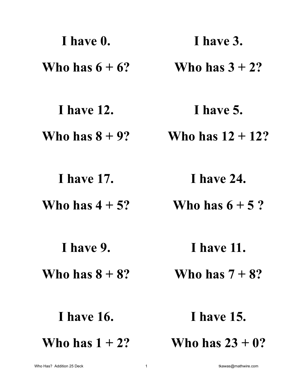| I have 0.         | I have 3.           |
|-------------------|---------------------|
| Who has $6 + 6$ ? | Who has $3 + 2$ ?   |
| <b>Thave 12.</b>  | I have 5.           |
| Who has $8 + 9$ ? | Who has $12 + 12$ ? |
| <b>I</b> have 17. | I have 24.          |
| Who has $4 + 5$ ? | Who has $6+5$ ?     |
| I have 9.         | <b>I</b> have 11.   |
| Who has $8 + 8$ ? | Who has $7+8$ ?     |
| <b>I</b> have 16. | <b>I</b> have 15.   |
| Who has $1 + 2$ ? | Who has $23 + 0?$   |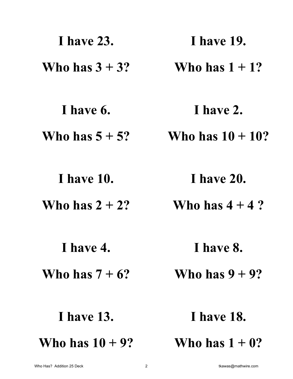| <b>Thave 23.</b>   | <b>I</b> have 19.   |
|--------------------|---------------------|
| Who has $3 + 3$ ?  | Who has $1 + 1$ ?   |
| I have 6.          | I have 2.           |
| Who has $5 + 5$ ?  | Who has $10 + 10$ ? |
| I have 10.         | <b>I</b> have 20.   |
| Who has $2 + 2$ ?  | Who has $4+4$ ?     |
| I have 4.          | I have 8.           |
| Who has $7 + 6$ ?  | Who has $9 + 9$ ?   |
| <b>I</b> have 13.  | <b>I</b> have 18.   |
| Who has $10 + 9$ ? | Who has $1 + 0$ ?   |